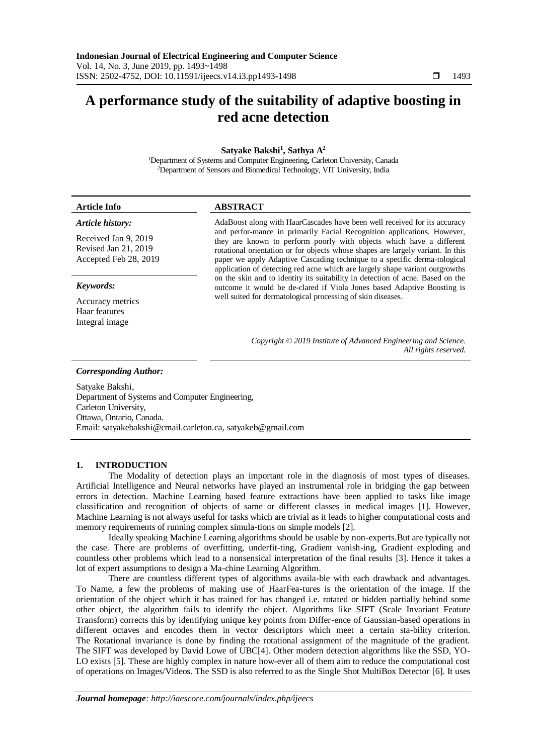# **A performance study of the suitability of adaptive boosting in red acne detection**

**Satyake Bakshi<sup>1</sup> , Sathya A<sup>2</sup>**

<sup>1</sup>Department of Systems and Computer Engineering, Carleton University, Canada <sup>2</sup>Department of Sensors and Biomedical Technology, VIT University, India

| <b>Article Info</b>                                                                       | <b>ABSTRACT</b>                                                                                                                                                                                                                                                                                                                                                                                                                                                              |  |  |
|-------------------------------------------------------------------------------------------|------------------------------------------------------------------------------------------------------------------------------------------------------------------------------------------------------------------------------------------------------------------------------------------------------------------------------------------------------------------------------------------------------------------------------------------------------------------------------|--|--|
| Article history:<br>Received Jan 9, 2019<br>Revised Jan 21, 2019<br>Accepted Feb 28, 2019 | AdaBoost along with HaarCascades have been well received for its accuracy<br>and perfor-mance in primarily Facial Recognition applications. However,<br>they are known to perform poorly with objects which have a different<br>rotational orientation or for objects whose shapes are largely variant. In this<br>paper we apply Adaptive Cascading technique to a specific derma-tological<br>application of detecting red acne which are largely shape variant outgrowths |  |  |
| Keywords:<br>Accuracy metrics<br>Haar features<br>Integral image                          | on the skin and to identity its suitability in detection of acne. Based on the<br>outcome it would be de-clared if Viola Jones based Adaptive Boosting is<br>well suited for dermatological processing of skin diseases.                                                                                                                                                                                                                                                     |  |  |
|                                                                                           | Copyright © 2019 Institute of Advanced Engineering and Science.<br>All rights reserved.                                                                                                                                                                                                                                                                                                                                                                                      |  |  |
| <b>Corresponding Author:</b><br>0.1011                                                    |                                                                                                                                                                                                                                                                                                                                                                                                                                                                              |  |  |

Satyake Bakshi, Department of Systems and Computer Engineering, Carleton University, Ottawa, Ontario, Canada. Email: satyakebakshi@cmail.carleton.ca, [satyakeb@gmail.com](mailto:satyakeb@gmail.com)

## **1. INTRODUCTION**

The Modality of detection plays an important role in the diagnosis of most types of diseases. Artificial Intelligence and Neural networks have played an instrumental role in bridging the gap between errors in detection. Machine Learning based feature extractions have been applied to tasks like image classification and recognition of objects of same or different classes in medical images [1]. However, Machine Learning is not always useful for tasks which are trivial as it leads to higher computational costs and memory requirements of running complex simula-tions on simple models [2].

Ideally speaking Machine Learning algorithms should be usable by non-experts.But are typically not the case. There are problems of overfitting, underfit-ting, Gradient vanish-ing, Gradient exploding and countless other problems which lead to a nonsensical interpretation of the final results [3]. Hence it takes a lot of expert assumptions to design a Ma-chine Learning Algorithm.

There are countless different types of algorithms availa-ble with each drawback and advantages. To Name, a few the problems of making use of HaarFea-tures is the orientation of the image. If the orientation of the object which it has trained for has changed i.e. rotated or hidden partially behind some other object, the algorithm fails to identify the object. Algorithms like SIFT (Scale Invariant Feature Transform) corrects this by identifying unique key points from Differ-ence of Gaussian-based operations in different octaves and encodes them in vector descriptors which meet a certain sta-bility criterion. The Rotational invariance is done by finding the rotational assignment of the magnitude of the gradient. The SIFT was developed by David Lowe of UBC[4]. Other modern detection algorithms like the SSD, YO-LO exists [5]. These are highly complex in nature how-ever all of them aim to reduce the computational cost of operations on Images/Videos. The SSD is also referred to as the Single Shot MultiBox Detector [6]. It uses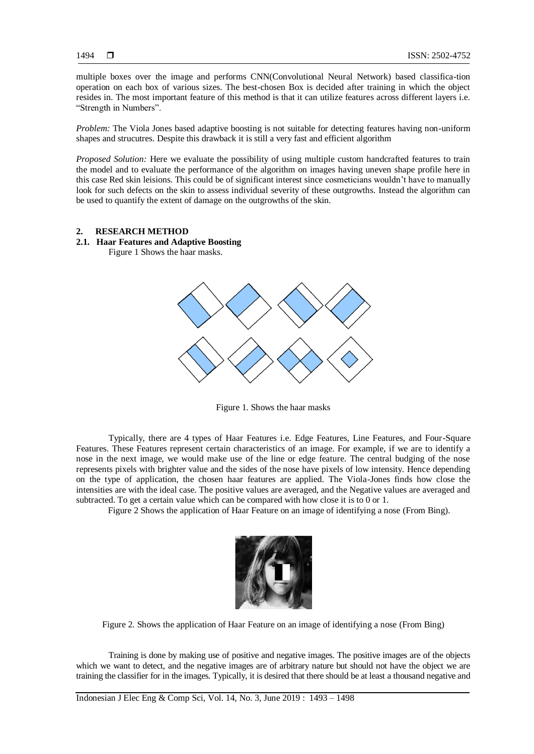multiple boxes over the image and performs CNN(Convolutional Neural Network) based classifica-tion operation on each box of various sizes. The best-chosen Box is decided after training in which the object resides in. The most important feature of this method is that it can utilize features across different layers i.e. "Strength in Numbers".

*Problem:* The Viola Jones based adaptive boosting is not suitable for detecting features having non-uniform shapes and strucutres. Despite this drawback it is still a very fast and efficient algorithm

*Proposed Solution:* Here we evaluate the possibility of using multiple custom handcrafted features to train the model and to evaluate the performance of the algorithm on images having uneven shape profile here in this case Red skin leisions. This could be of significant interest since cosmeticians wouldn't have to manually look for such defects on the skin to assess individual severity of these outgrowths. Instead the algorithm can be used to quantify the extent of damage on the outgrowths of the skin.

#### **2. RESEARCH METHOD**

## **2.1. Haar Features and Adaptive Boosting**

Figure 1 Shows the haar masks.



Figure 1. Shows the haar masks

Typically, there are 4 types of Haar Features i.e. Edge Features, Line Features, and Four-Square Features. These Features represent certain characteristics of an image. For example, if we are to identify a nose in the next image, we would make use of the line or edge feature. The central budging of the nose represents pixels with brighter value and the sides of the nose have pixels of low intensity. Hence depending on the type of application, the chosen haar features are applied. The Viola-Jones finds how close the intensities are with the ideal case. The positive values are averaged, and the Negative values are averaged and subtracted. To get a certain value which can be compared with how close it is to 0 or 1.

Figure 2 Shows the application of Haar Feature on an image of identifying a nose (From Bing).



Figure 2. Shows the application of Haar Feature on an image of identifying a nose (From Bing)

Training is done by making use of positive and negative images. The positive images are of the objects which we want to detect, and the negative images are of arbitrary nature but should not have the object we are training the classifier for in the images. Typically, it is desired that there should be at least a thousand negative and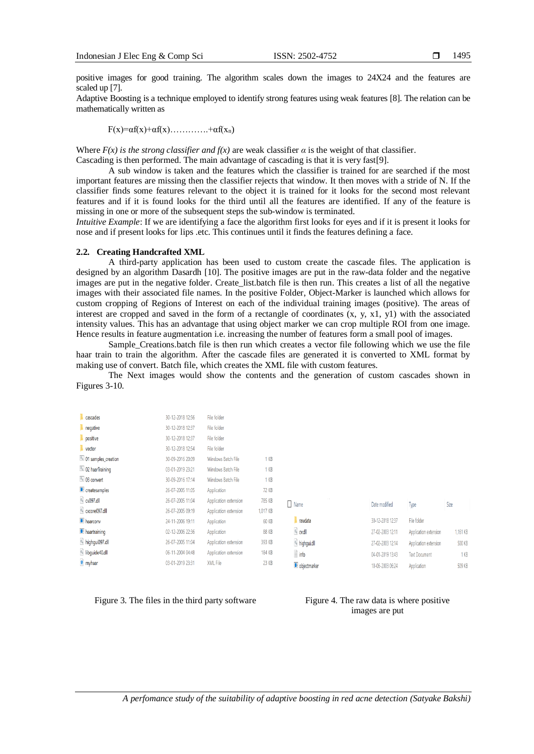positive images for good training. The algorithm scales down the images to 24X24 and the features are scaled up [7].

Adaptive Boosting is a technique employed to identify strong features using weak features [8]. The relation can be mathematically written as

 $F(x)=\alpha f(x)+\alpha f(x)$ ……………+ $\alpha f(x_n)$ 

Where  $F(x)$  is the strong classifier and  $f(x)$  are weak classifier  $\alpha$  is the weight of that classifier. Cascading is then performed. The main advantage of cascading is that it is very fast[9].

A sub window is taken and the features which the classifier is trained for are searched if the most important features are missing then the classifier rejects that window. It then moves with a stride of N. If the classifier finds some features relevant to the object it is trained for it looks for the second most relevant features and if it is found looks for the third until all the features are identified. If any of the feature is missing in one or more of the subsequent steps the sub-window is terminated.

*Intuitive Example*: If we are identifying a face the algorithm first looks for eyes and if it is present it looks for nose and if present looks for lips .etc. This continues until it finds the features defining a face.

#### **2.2. Creating Handcrafted XML**

A third-party application has been used to custom create the cascade files. The application is designed by an algorithm Dasardh [10]. The positive images are put in the raw-data folder and the negative images are put in the negative folder. Create\_list.batch file is then run. This creates a list of all the negative images with their associated file names. In the positive Folder, Object-Marker is launched which allows for custom cropping of Regions of Interest on each of the individual training images (positive). The areas of interest are cropped and saved in the form of a rectangle of coordinates  $(x, y, x1, y1)$  with the associated intensity values. This has an advantage that using object marker we can crop multiple ROI from one image. Hence results in feature augmentation i.e. increasing the number of features form a small pool of images.

Sample\_Creations.batch file is then run which creates a vector file following which we use the file haar train to train the algorithm. After the cascade files are generated it is converted to XML format by making use of convert. Batch file, which creates the XML file with custom features.

The Next images would show the contents and the generation of custom cascades shown in Figures 3-10.

| cascades            | 30-12-2018 12:56 | File folder           |              |                       |                  |
|---------------------|------------------|-----------------------|--------------|-----------------------|------------------|
| negative            | 30-12-2018 12:37 | File folder           |              |                       |                  |
| positive            | 30-12-2018 12:37 | File folder           |              |                       |                  |
| vector              | 30-12-2018 12:54 | File folder           |              |                       |                  |
| 01 samples_creation | 30-09-2016 20:09 | Windows Batch File    | 1 KB         |                       |                  |
| 02 haarTraining     | 03-01-2019 23:21 | Windows Batch File    | 1 KB         |                       |                  |
| 03 convert          | 30-09-2016 17:14 | Windows Batch File    | 1 KB         |                       |                  |
| createsamples       | 26-07-2005 11:05 | Application           | 72 KB        |                       |                  |
| cv097.dll           | 26-07-2005 11:04 | Application extension | 785 KB       | $\Box$ Name           | Date modified    |
| Cxcore097.dll       | 26-07-2005 09:19 | Application extension | 1,017 KB     |                       |                  |
| <b>haarconv</b>     | 24-11-2006 19:11 | Application           | <b>60 KB</b> | <b>T</b> rawdata      | 30-12-2018 12:37 |
| <b>haartraining</b> | 02-12-2006 22:36 | Application           | <b>88 KB</b> | o.dll                 | 27-02-2003 12:11 |
| highqui097.dll      | 26-07-2005 11:04 | Application extension | 393 KB       | highgui.dll           | 27-02-2003 12:14 |
| ibquide40.dll       | 06-11-2004 04:48 | Application extension | 184 KB       | $\mathbf{r}$ info     | 04-01-2019 13:43 |
| e myhaar            | 03-01-2019 23:31 | XML File              | 23 KB        | <b>D</b> objectmarker | 10-06-2003 06:24 |
|                     |                  |                       |              |                       |                  |

Figure 3. The files in the third party software Figure 4. The raw data is where positive

# images are put

Size

1.161 KB

**500 KB** 

1 KB

 $509$  KB

Type

File folder

Application extension

Application extension

**Text Document** 

Application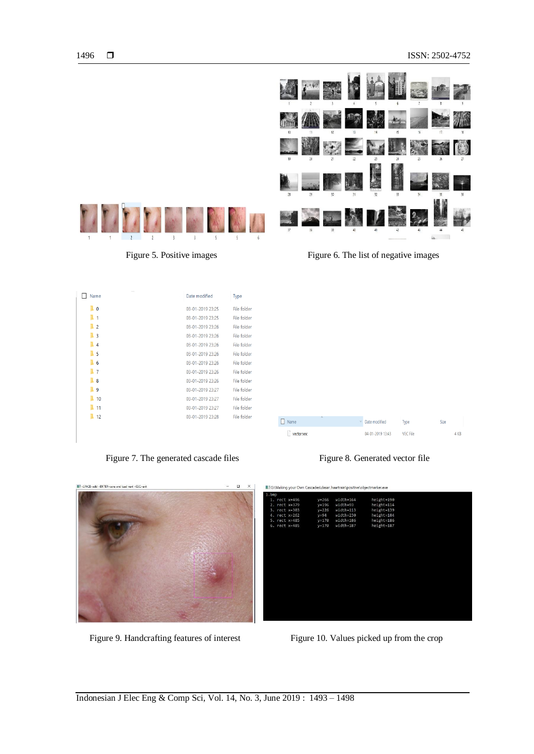

Figure 5. Positive images Figure 6. The list of negative images

| $\sim$ $\sim$<br>Name        | Date modified    | Type        |
|------------------------------|------------------|-------------|
| $\blacksquare$ 0             | 03-01-2019 23:25 | File folder |
| 1<br>٠                       | 03-01-2019 23:25 | File folder |
| $\overline{2}$               | 03-01-2019 23:26 | File folder |
| $\overline{\mathbf{3}}$<br>٠ | 03-01-2019 23:26 | File folder |
| $\overline{4}$               | 03-01-2019 23:26 | File folder |
| 5<br>в                       | 03-01-2019 23:26 | File folder |
| 6<br>٠                       | 03-01-2019 23:26 | File folder |
| $\overline{7}$               | 03-01-2019 23:26 | File folder |
| 8                            | 03-01-2019 23:26 | File folder |
| 9                            | 03-01-2019 23:27 | File folder |
| 10                           | 03-01-2019 23:27 | File folder |
| 11                           | 03-01-2019 23:27 | File folder |
| 12                           | 03-01-2019 23:28 | File folder |
|                              |                  |             |

Figure 7. The generated cascade files Figure 8. Generated vector file







Figure 9. Handcrafting features of interest Figure 10. Values picked up from the crop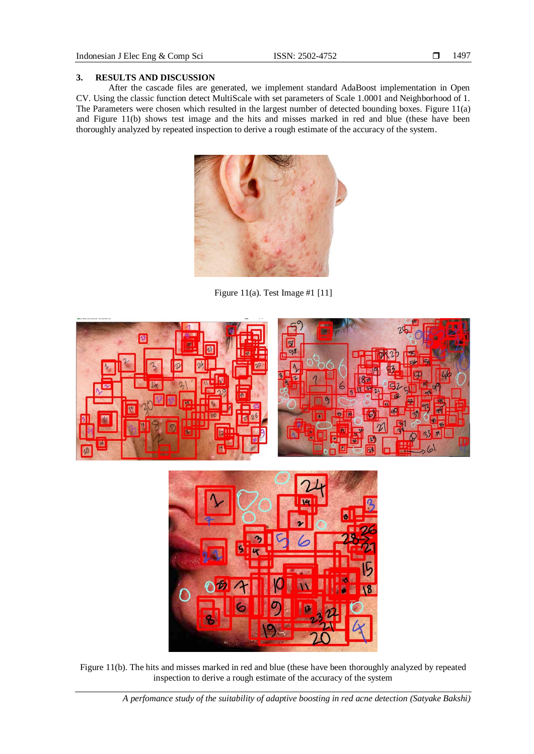#### **3. RESULTS AND DISCUSSION**

After the cascade files are generated, we implement standard AdaBoost implementation in Open CV. Using the classic function detect MultiScale with set parameters of Scale 1.0001 and Neighborhood of 1. The Parameters were chosen which resulted in the largest number of detected bounding boxes. Figure 11(a) and Figure 11(b) shows test image and the hits and misses marked in red and blue (these have been thoroughly analyzed by repeated inspection to derive a rough estimate of the accuracy of the system.



Figure 11(a). Test Image #1 [11]



Figure 11(b). The hits and misses marked in red and blue (these have been thoroughly analyzed by repeated inspection to derive a rough estimate of the accuracy of the system